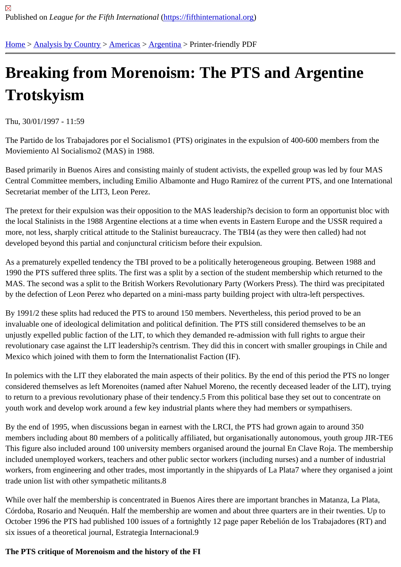# [Bre](https://fifthinternational.org/)[aking from](https://fifthinternational.org/category/1) [More](https://fifthinternational.org/category/1/56)[noism](https://fifthinternational.org/category/1/56/57): The PTS and Argentine **Trotskyism**

Thu, 30/01/1997 - 11:59

The Partido de los Trabajadores por el Socialismo1 (PTS) originates in the expulsion of 400-600 members from th Moviemiento Al Socialismo2 (MAS) in 1988.

Based primarily in Buenos Aires and consisting mainly of student activists, the expelled group was led by four MAS Central Committee members, including Emilio Albamonte and Hugo Ramirez of the current PTS, and one International Secretariat member of the LIT3, Leon Perez.

The pretext for their expulsion was their opposition to the MAS leadership?s decision to form an opportunist bloc with the local Stalinists in the 1988 Argentine elections at a time when events in Eastern Europe and the USSR require more, not less, sharply critical attitude to the Stalinist bureaucracy. The TBI4 (as they were then called) had not developed beyond this partial and conjunctural criticism before their expulsion.

As a prematurely expelled tendency the TBI proved to be a politically heterogeneous grouping. Between 1988 and 1990 the PTS suffered three splits. The first was a split by a section of the student membership which returned to MAS. The second was a split to the British Workers Revolutionary Party (Workers Press). The third was precipitate by the defection of Leon Perez who departed on a mini-mass party building project with ultra-left perspectives.

By 1991/2 these splits had reduced the PTS to around 150 members. Nevertheless, this period proved to be an invaluable one of ideological delimitation and political definition. The PTS still considered themselves to be an unjustly expelled public faction of the LIT, to which they demanded re-admission with full rights to argue their revolutionary case against the LIT leadership?s centrism. They did this in concert with smaller groupings in Chile a Mexico which joined with them to form the Internationalist Faction (IF).

In polemics with the LIT they elaborated the main aspects of their politics. By the end of this period the PTS no lon considered themselves as left Morenoites (named after Nahuel Moreno, the recently deceased leader of the LIT), to return to a previous revolutionary phase of their tendency.5 From this political base they set out to concentrate o youth work and develop work around a few key industrial plants where they had members or sympathisers.

By the end of 1995, when discussions began in earnest with the LRCI, the PTS had grown again to around 350 members including about 80 members of a politically affiliated, but organisationally autonomous, youth group JIR-T This figure also included around 100 university members organised around the journal En Clave Roja. The membe included unemployed workers, teachers and other public sector workers (including nurses) and a number of indus workers, from engineering and other trades, most importantly in the shipyards of La Plata7 where they organised a trade union list with other sympathetic militants.8

While over half the membership is concentrated in Buenos Aires there are important branches in Matanza, La Plat Córdoba, Rosario and Neuquén. Half the membership are women and about three quarters are in their twenties. L October 1996 the PTS had published 100 issues of a fortnightly 12 page paper Rebelión de los Trabajadores (RT) six issues of a theoretical journal, Estrategia Internacional.9

The PTS critique of Morenoism and the history of the FI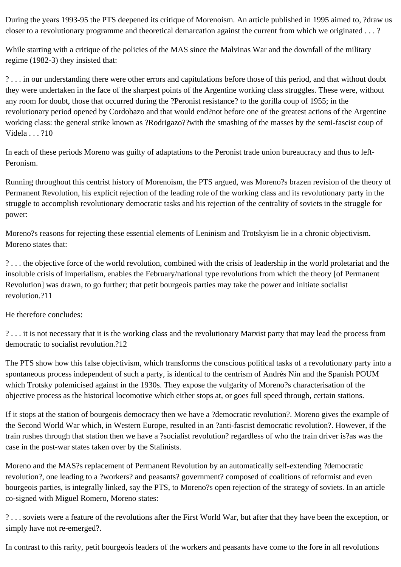During the years 1993-95 the PTS deepened its critique of Morenoism. An article published in 1995 aimed to, ?draw us closer to a revolutionary programme and theoretical demarcation against the current from which we originated . . . ?

While starting with a critique of the policies of the MAS since the Malvinas War and the downfall of the military regime (1982-3) they insisted that:

? . . . in our understanding there were other errors and capitulations before those of this period, and that without doubt they were undertaken in the face of the sharpest points of the Argentine working class struggles. These were, without any room for doubt, those that occurred during the ?Peronist resistance? to the gorilla coup of 1955; in the revolutionary period opened by Cordobazo and that would end?not before one of the greatest actions of the Argentine working class: the general strike known as ?Rodrigazo??with the smashing of the masses by the semi-fascist coup of Videla . . . ?10

In each of these periods Moreno was guilty of adaptations to the Peronist trade union bureaucracy and thus to left-Peronism.

Running throughout this centrist history of Morenoism, the PTS argued, was Moreno?s brazen revision of the theory of Permanent Revolution, his explicit rejection of the leading role of the working class and its revolutionary party in the struggle to accomplish revolutionary democratic tasks and his rejection of the centrality of soviets in the struggle for power:

Moreno?s reasons for rejecting these essential elements of Leninism and Trotskyism lie in a chronic objectivism. Moreno states that:

? . . . the objective force of the world revolution, combined with the crisis of leadership in the world proletariat and the insoluble crisis of imperialism, enables the February/national type revolutions from which the theory [of Permanent Revolution] was drawn, to go further; that petit bourgeois parties may take the power and initiate socialist revolution.?11

He therefore concludes:

? . . . it is not necessary that it is the working class and the revolutionary Marxist party that may lead the process from democratic to socialist revolution.?12

The PTS show how this false objectivism, which transforms the conscious political tasks of a revolutionary party into a spontaneous process independent of such a party, is identical to the centrism of Andrés Nin and the Spanish POUM which Trotsky polemicised against in the 1930s. They expose the vulgarity of Moreno?s characterisation of the objective process as the historical locomotive which either stops at, or goes full speed through, certain stations.

If it stops at the station of bourgeois democracy then we have a ?democratic revolution?. Moreno gives the example of the Second World War which, in Western Europe, resulted in an ?anti-fascist democratic revolution?. However, if the train rushes through that station then we have a ?socialist revolution? regardless of who the train driver is?as was the case in the post-war states taken over by the Stalinists.

Moreno and the MAS?s replacement of Permanent Revolution by an automatically self-extending ?democratic revolution?, one leading to a ?workers? and peasants? government? composed of coalitions of reformist and even bourgeois parties, is integrally linked, say the PTS, to Moreno?s open rejection of the strategy of soviets. In an article co-signed with Miguel Romero, Moreno states:

? . . . soviets were a feature of the revolutions after the First World War, but after that they have been the exception, or simply have not re-emerged?.

In contrast to this rarity, petit bourgeois leaders of the workers and peasants have come to the fore in all revolutions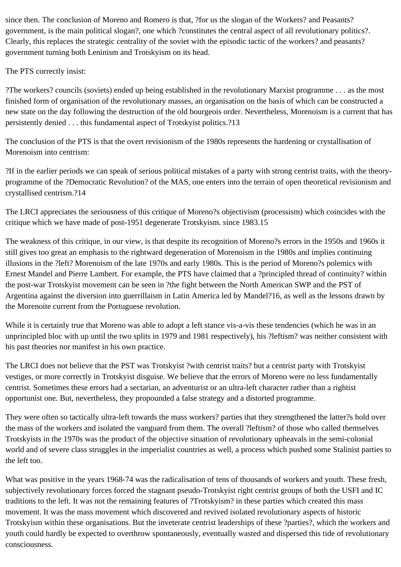since then. The conclusion of Moreno and Romero is that, ?for us the slogan of the Workers? and Peasants? government, is the main political slogan?, one which ?constitutes the central aspect of all revolutionary politics?. Clearly, this replaces the strategic centrality of the soviet with the episodic tactic of the workers? and peasants? government turning both Leninism and Trotskyism on its head.

The PTS correctly insist:

?The workers? councils (soviets) ended up being established in the revolutionary Marxist programme . . . as the most finished form of organisation of the revolutionary masses, an organisation on the basis of which can be constructed a new state on the day following the destruction of the old bourgeois order. Nevertheless, Morenoism is a current that has persistently denied . . . this fundamental aspect of Trotskyist politics.?13

The conclusion of the PTS is that the overt revisionism of the 1980s represents the hardening or crystallisation of Morenoism into centrism:

?If in the earlier periods we can speak of serious political mistakes of a party with strong centrist traits, with the theoryprogramme of the ?Democratic Revolution? of the MAS, one enters into the terrain of open theoretical revisionism and crystallised centrism.?14

The LRCI appreciates the seriousness of this critique of Moreno?s objectivism (processism) which coincides with the critique which we have made of post-1951 degenerate Trotskyism. since 1983.15

The weakness of this critique, in our view, is that despite its recognition of Moreno?s errors in the 1950s and 1960s it still gives too great an emphasis to the rightward degeneration of Morenoism in the 1980s and implies continuing illusions in the ?left? Morenoism of the late 1970s and early 1980s. This is the period of Moreno?s polemics with Ernest Mandel and Pierre Lambert. For example, the PTS have claimed that a ?principled thread of continuity? within the post-war Trotskyist movement can be seen in ?the fight between the North American SWP and the PST of Argentina against the diversion into guerrillaism in Latin America led by Mandel?16, as well as the lessons drawn by the Morenoite current from the Portuguese revolution.

While it is certainly true that Moreno was able to adopt a left stance vis-a-vis these tendencies (which he was in an unprincipled bloc with up until the two splits in 1979 and 1981 respectively), his ?leftism? was neither consistent with his past theories nor manifest in his own practice.

The LRCI does not believe that the PST was Trotskyist ?with centrist traits? but a centrist party with Trotskyist vestiges, or more correctly in Trotskyist disguise. We believe that the errors of Moreno were no less fundamentally centrist. Sometimes these errors had a sectarian, an adventurist or an ultra-left character rather than a rightist opportunist one. But, nevertheless, they propounded a false strategy and a distorted programme.

They were often so tactically ultra-left towards the mass workers? parties that they strengthened the latter?s hold over the mass of the workers and isolated the vanguard from them. The overall ?leftism? of those who called themselves Trotskyists in the 1970s was the product of the objective situation of revolutionary upheavals in the semi-colonial world and of severe class struggles in the imperialist countries as well, a process which pushed some Stalinist parties to the left too.

What was positive in the years 1968-74 was the radicalisation of tens of thousands of workers and youth. These fresh, subjectively revolutionary forces forced the stagnant pseudo-Trotskyist right centrist groups of both the USFI and IC traditions to the left. It was not the remaining features of ?Trotskyism? in these parties which created this mass movement. It was the mass movement which discovered and revived isolated revolutionary aspects of historic Trotskyism within these organisations. But the inveterate centrist leaderships of these ?parties?, which the workers and youth could hardly be expected to overthrow spontaneously, eventually wasted and dispersed this tide of revolutionary consciousness.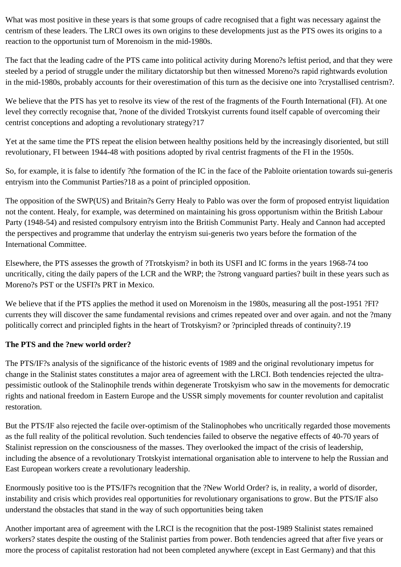What was most positive in these years is that some groups of cadre recognised that a fight was necessary against the centrism of these leaders. The LRCI owes its own origins to these developments just as the PTS owes its origins to a reaction to the opportunist turn of Morenoism in the mid-1980s.

The fact that the leading cadre of the PTS came into political activity during Moreno?s leftist period, and that they were steeled by a period of struggle under the military dictatorship but then witnessed Moreno?s rapid rightwards evolution in the mid-1980s, probably accounts for their overestimation of this turn as the decisive one into ?crystallised centrism?.

We believe that the PTS has yet to resolve its view of the rest of the fragments of the Fourth International (FI). At one level they correctly recognise that, ?none of the divided Trotskyist currents found itself capable of overcoming their centrist conceptions and adopting a revolutionary strategy?17

Yet at the same time the PTS repeat the elision between healthy positions held by the increasingly disoriented, but still revolutionary, FI between 1944-48 with positions adopted by rival centrist fragments of the FI in the 1950s.

So, for example, it is false to identify ?the formation of the IC in the face of the Pabloite orientation towards sui-generis entryism into the Communist Parties?18 as a point of principled opposition.

The opposition of the SWP(US) and Britain?s Gerry Healy to Pablo was over the form of proposed entryist liquidation not the content. Healy, for example, was determined on maintaining his gross opportunism within the British Labour Party (1948-54) and resisted compulsory entryism into the British Communist Party. Healy and Cannon had accepted the perspectives and programme that underlay the entryism sui-generis two years before the formation of the International Committee.

Elsewhere, the PTS assesses the growth of ?Trotskyism? in both its USFI and IC forms in the years 1968-74 too uncritically, citing the daily papers of the LCR and the WRP; the ?strong vanguard parties? built in these years such as Moreno?s PST or the USFI?s PRT in Mexico.

We believe that if the PTS applies the method it used on Morenoism in the 1980s, measuring all the post-1951 ?FI? currents they will discover the same fundamental revisions and crimes repeated over and over again. and not the ?many politically correct and principled fights in the heart of Trotskyism? or ?principled threads of continuity?.19

# **The PTS and the ?new world order?**

The PTS/IF?s analysis of the significance of the historic events of 1989 and the original revolutionary impetus for change in the Stalinist states constitutes a major area of agreement with the LRCI. Both tendencies rejected the ultrapessimistic outlook of the Stalinophile trends within degenerate Trotskyism who saw in the movements for democratic rights and national freedom in Eastern Europe and the USSR simply movements for counter revolution and capitalist restoration.

But the PTS/IF also rejected the facile over-optimism of the Stalinophobes who uncritically regarded those movements as the full reality of the political revolution. Such tendencies failed to observe the negative effects of 40-70 years of Stalinist repression on the consciousness of the masses. They overlooked the impact of the crisis of leadership, including the absence of a revolutionary Trotskyist international organisation able to intervene to help the Russian and East European workers create a revolutionary leadership.

Enormously positive too is the PTS/IF?s recognition that the ?New World Order? is, in reality, a world of disorder, instability and crisis which provides real opportunities for revolutionary organisations to grow. But the PTS/IF also understand the obstacles that stand in the way of such opportunities being taken

Another important area of agreement with the LRCI is the recognition that the post-1989 Stalinist states remained workers? states despite the ousting of the Stalinist parties from power. Both tendencies agreed that after five years or more the process of capitalist restoration had not been completed anywhere (except in East Germany) and that this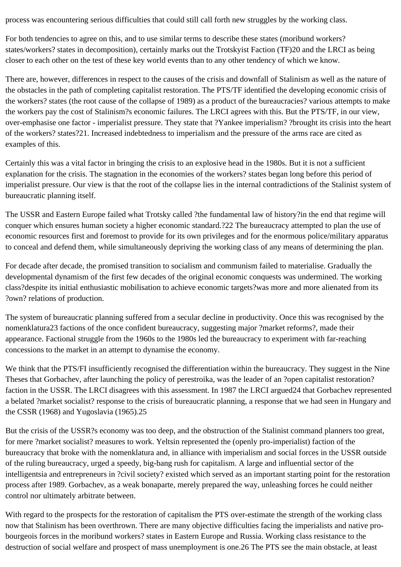process was encountering serious difficulties that could still call forth new struggles by the working class.

For both tendencies to agree on this, and to use similar terms to describe these states (moribund workers? states/workers? states in decomposition), certainly marks out the Trotskyist Faction (TF)20 and the LRCI as being closer to each other on the test of these key world events than to any other tendency of which we know.

There are, however, differences in respect to the causes of the crisis and downfall of Stalinism as well as the nature of the obstacles in the path of completing capitalist restoration. The PTS/TF identified the developing economic crisis of the workers? states (the root cause of the collapse of 1989) as a product of the bureaucracies? various attempts to make the workers pay the cost of Stalinism?s economic failures. The LRCI agrees with this. But the PTS/TF, in our view, over-emphasise one factor - imperialist pressure. They state that ?Yankee imperialism? ?brought its crisis into the heart of the workers? states?21. Increased indebtedness to imperialism and the pressure of the arms race are cited as examples of this.

Certainly this was a vital factor in bringing the crisis to an explosive head in the 1980s. But it is not a sufficient explanation for the crisis. The stagnation in the economies of the workers? states began long before this period of imperialist pressure. Our view is that the root of the collapse lies in the internal contradictions of the Stalinist system of bureaucratic planning itself.

The USSR and Eastern Europe failed what Trotsky called ?the fundamental law of history?in the end that regime will conquer which ensures human society a higher economic standard.?22 The bureaucracy attempted to plan the use of economic resources first and foremost to provide for its own privileges and for the enormous police/military apparatus to conceal and defend them, while simultaneously depriving the working class of any means of determining the plan.

For decade after decade, the promised transition to socialism and communism failed to materialise. Gradually the developmental dynamism of the first few decades of the original economic conquests was undermined. The working class?despite its initial enthusiastic mobilisation to achieve economic targets?was more and more alienated from its ?own? relations of production.

The system of bureaucratic planning suffered from a secular decline in productivity. Once this was recognised by the nomenklatura23 factions of the once confident bureaucracy, suggesting major ?market reforms?, made their appearance. Factional struggle from the 1960s to the 1980s led the bureaucracy to experiment with far-reaching concessions to the market in an attempt to dynamise the economy.

We think that the PTS/FI insufficiently recognised the differentiation within the bureaucracy. They suggest in the Nine Theses that Gorbachev, after launching the policy of perestroika, was the leader of an ?open capitalist restoration? faction in the USSR. The LRCI disagrees with this assessment. In 1987 the LRCI argued24 that Gorbachev represented a belated ?market socialist? response to the crisis of bureaucratic planning, a response that we had seen in Hungary and the CSSR (1968) and Yugoslavia (1965).25

But the crisis of the USSR?s economy was too deep, and the obstruction of the Stalinist command planners too great, for mere ?market socialist? measures to work. Yeltsin represented the (openly pro-imperialist) faction of the bureaucracy that broke with the nomenklatura and, in alliance with imperialism and social forces in the USSR outside of the ruling bureaucracy, urged a speedy, big-bang rush for capitalism. A large and influential sector of the intelligentsia and entrepreneurs in ?civil society? existed which served as an important starting point for the restoration process after 1989. Gorbachev, as a weak bonaparte, merely prepared the way, unleashing forces he could neither control nor ultimately arbitrate between.

With regard to the prospects for the restoration of capitalism the PTS over-estimate the strength of the working class now that Stalinism has been overthrown. There are many objective difficulties facing the imperialists and native probourgeois forces in the moribund workers? states in Eastern Europe and Russia. Working class resistance to the destruction of social welfare and prospect of mass unemployment is one.26 The PTS see the main obstacle, at least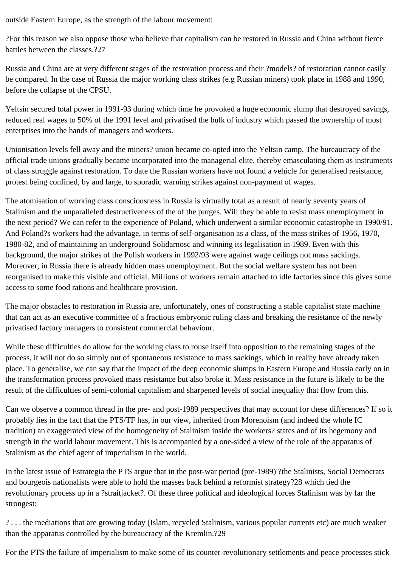outside Eastern Europe, as the strength of the labour movement:

?For this reason we also oppose those who believe that capitalism can be restored in Russia and China without fierce battles between the classes. 227

Russia and China are at very different stages of the restoration process and their ?models? of restoration cannot easily be compared. In the case of Russia the major working class strikes (e.g Russian miners) took place in 1988 and 1990, before the collapse of the CPSU.

Yeltsin secured total power in 1991-93 during which time he provoked a huge economic slump that destroyed savings, reduced real wages to 50% of the 1991 level and privatised the bulk of industry which passed the ownership of most enterprises into the hands of managers and workers.

Unionisation levels fell away and the miners? union became co-opted into the Yeltsin camp. The bureaucracy of the official trade unions gradually became incorporated into the managerial elite, thereby emasculating them as instruments of class struggle against restoration. To date the Russian workers have not found a vehicle for generalised resistance, protest being confined, by and large, to sporadic warning strikes against non-payment of wages.

The atomisation of working class consciousness in Russia is virtually total as a result of nearly seventy years of Stalinism and the unparalleled destructiveness of the of the purges. Will they be able to resist mass unemployment in the next period? We can refer to the experience of Poland, which underwent a similar economic catastrophe in 1990/91. And Poland?s workers had the advantage, in terms of self-organisation as a class, of the mass strikes of 1956, 1970, 1980-82, and of maintaining an underground Solidarnosc and winning its legalisation in 1989. Even with this background, the major strikes of the Polish workers in 1992/93 were against wage ceilings not mass sackings. Moreover, in Russia there is already hidden mass unemployment. But the social welfare system has not been reorganised to make this visible and official. Millions of workers remain attached to idle factories since this gives some access to some food rations and healthcare provision.

The major obstacles to restoration in Russia are, unfortunately, ones of constructing a stable capitalist state machine that can act as an executive committee of a fractious embryonic ruling class and breaking the resistance of the newly privatised factory managers to consistent commercial behaviour.

While these difficulties do allow for the working class to rouse itself into opposition to the remaining stages of the process, it will not do so simply out of spontaneous resistance to mass sackings, which in reality have already taken place. To generalise, we can say that the impact of the deep economic slumps in Eastern Europe and Russia early on in the transformation process provoked mass resistance but also broke it. Mass resistance in the future is likely to be the result of the difficulties of semi-colonial capitalism and sharpened levels of social inequality that flow from this.

Can we observe a common thread in the pre- and post-1989 perspectives that may account for these differences? If so it probably lies in the fact that the PTS/TF has, in our view, inherited from Morenoism (and indeed the whole IC tradition) an exaggerated view of the homogeneity of Stalinism inside the workers? states and of its hegemony and strength in the world labour movement. This is accompanied by a one-sided a view of the role of the apparatus of Stalinism as the chief agent of imperialism in the world.

In the latest issue of Estrategia the PTS argue that in the post-war period (pre-1989) ?the Stalinists, Social Democrats and bourgeois nationalists were able to hold the masses back behind a reformist strategy?28 which tied the revolutionary process up in a ?straitjacket?. Of these three political and ideological forces Stalinism was by far the strongest:

? . . . the mediations that are growing today (Islam, recycled Stalinism, various popular currents etc) are much weaker than the apparatus controlled by the bureaucracy of the Kremlin.?29

For the PTS the failure of imperialism to make some of its counter-revolutionary settlements and peace processes stick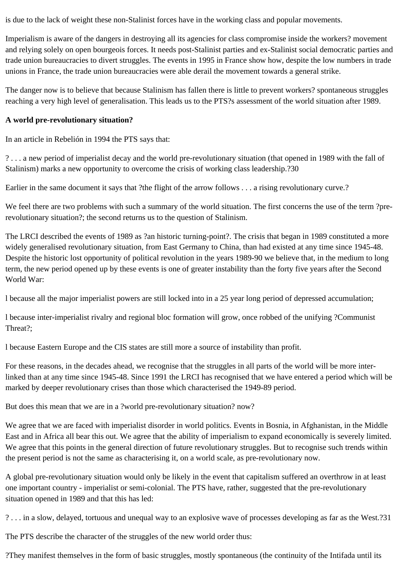is due to the lack of weight these non-Stalinist forces have in the working class and popular movements.

Imperialism is aware of the dangers in destroying all its agencies for class compromise inside the workers? movement and relying solely on open bourgeois forces. It needs post-Stalinist parties and ex-Stalinist social democratic parties and trade union bureaucracies to divert struggles. The events in 1995 in France show how, despite the low numbers in trade unions in France, the trade union bureaucracies were able derail the movement towards a general strike.

The danger now is to believe that because Stalinism has fallen there is little to prevent workers? spontaneous struggles reaching a very high level of generalisation. This leads us to the PTS?s assessment of the world situation after 1989.

### **A world pre-revolutionary situation?**

In an article in Rebelión in 1994 the PTS says that:

? . . . a new period of imperialist decay and the world pre-revolutionary situation (that opened in 1989 with the fall of Stalinism) marks a new opportunity to overcome the crisis of working class leadership.?30

Earlier in the same document it says that ?the flight of the arrow follows . . . a rising revolutionary curve.?

We feel there are two problems with such a summary of the world situation. The first concerns the use of the term ?prerevolutionary situation?; the second returns us to the question of Stalinism.

The LRCI described the events of 1989 as ?an historic turning-point?. The crisis that began in 1989 constituted a more widely generalised revolutionary situation, from East Germany to China, than had existed at any time since 1945-48. Despite the historic lost opportunity of political revolution in the years 1989-90 we believe that, in the medium to long term, the new period opened up by these events is one of greater instability than the forty five years after the Second World War:

l because all the major imperialist powers are still locked into in a 25 year long period of depressed accumulation;

l because inter-imperialist rivalry and regional bloc formation will grow, once robbed of the unifying ?Communist Threat?;

l because Eastern Europe and the CIS states are still more a source of instability than profit.

For these reasons, in the decades ahead, we recognise that the struggles in all parts of the world will be more interlinked than at any time since 1945-48. Since 1991 the LRCI has recognised that we have entered a period which will be marked by deeper revolutionary crises than those which characterised the 1949-89 period.

But does this mean that we are in a ?world pre-revolutionary situation? now?

We agree that we are faced with imperialist disorder in world politics. Events in Bosnia, in Afghanistan, in the Middle East and in Africa all bear this out. We agree that the ability of imperialism to expand economically is severely limited. We agree that this points in the general direction of future revolutionary struggles. But to recognise such trends within the present period is not the same as characterising it, on a world scale, as pre-revolutionary now.

A global pre-revolutionary situation would only be likely in the event that capitalism suffered an overthrow in at least one important country - imperialist or semi-colonial. The PTS have, rather, suggested that the pre-revolutionary situation opened in 1989 and that this has led:

? . . . in a slow, delayed, tortuous and unequal way to an explosive wave of processes developing as far as the West.?31

The PTS describe the character of the struggles of the new world order thus:

?They manifest themselves in the form of basic struggles, mostly spontaneous (the continuity of the Intifada until its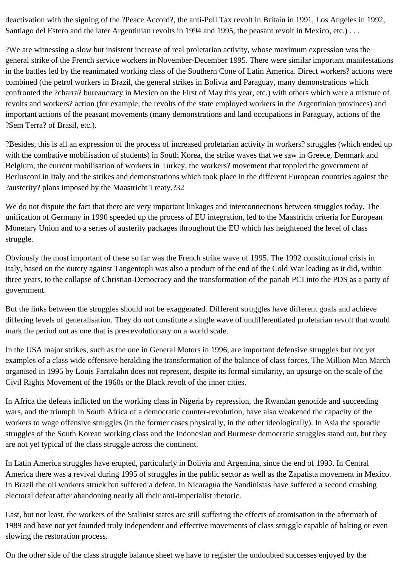deactivation with the signing of the ?Peace Accord?, the anti-Poll Tax revolt in Britain in 1991, Los Angeles in 1992, Santiago del Estero and the later Argentinian revolts in 1994 and 1995, the peasant revolt in Mexico, etc.) . . .

?We are witnessing a slow but insistent increase of real proletarian activity, whose maximum expression was the general strike of the French service workers in November-December 1995. There were similar important manifestations in the battles led by the reanimated working class of the Southern Cone of Latin America. Direct workers? actions were combined (the petrol workers in Brazil, the general strikes in Bolivia and Paraguay, many demonstrations which confronted the ?charra? bureaucracy in Mexico on the First of May this year, etc.) with others which were a mixture of revolts and workers? action (for example, the revolts of the state employed workers in the Argentinian provinces) and important actions of the peasant movements (many demonstrations and land occupations in Paraguay, actions of the ?Sem Terra? of Brasil, etc.).

?Besides, this is all an expression of the process of increased proletarian activity in workers? struggles (which ended up with the combative mobilisation of students) in South Korea, the strike waves that we saw in Greece, Denmark and Belgium, the current mobilisation of workers in Turkey, the workers? movement that toppled the government of Berlusconi in Italy and the strikes and demonstrations which took place in the different European countries against the ?austerity? plans imposed by the Maastricht Treaty.?32

We do not dispute the fact that there are very important linkages and interconnections between struggles today. The unification of Germany in 1990 speeded up the process of EU integration, led to the Maastricht criteria for European Monetary Union and to a series of austerity packages throughout the EU which has heightened the level of class struggle.

Obviously the most important of these so far was the French strike wave of 1995. The 1992 constitutional crisis in Italy, based on the outcry against Tangentopli was also a product of the end of the Cold War leading as it did, within three years, to the collapse of Christian-Democracy and the transformation of the pariah PCI into the PDS as a party of government.

But the links between the struggles should not be exaggerated. Different struggles have different goals and achieve differing levels of generalisation. They do not constitute a single wave of undifferentiated proletarian revolt that would mark the period out as one that is pre-revolutionary on a world scale.

In the USA major strikes, such as the one in General Motors in 1996, are important defensive struggles but not yet examples of a class wide offensive heralding the transformation of the balance of class forces. The Million Man March organised in 1995 by Louis Farrakahn does not represent, despite its formal similarity, an upsurge on the scale of the Civil Rights Movement of the 1960s or the Black revolt of the inner cities.

In Africa the defeats inflicted on the working class in Nigeria by repression, the Rwandan genocide and succeeding wars, and the triumph in South Africa of a democratic counter-revolution, have also weakened the capacity of the workers to wage offensive struggles (in the former cases physically, in the other ideologically). In Asia the sporadic struggles of the South Korean working class and the Indonesian and Burmese democratic struggles stand out, but they are not yet typical of the class struggle across the continent.

In Latin America struggles have erupted, particularly in Bolivia and Argentina, since the end of 1993. In Central America there was a revival during 1995 of struggles in the public sector as well as the Zapatista movement in Mexico. In Brazil the oil workers struck but suffered a defeat. In Nicaragua the Sandinistas have suffered a second crushing electoral defeat after abandoning nearly all their anti-imperialist rhetoric.

Last, but not least, the workers of the Stalinist states are still suffering the effects of atomisation in the aftermath of 1989 and have not yet founded truly independent and effective movements of class struggle capable of halting or even slowing the restoration process.

On the other side of the class struggle balance sheet we have to register the undoubted successes enjoyed by the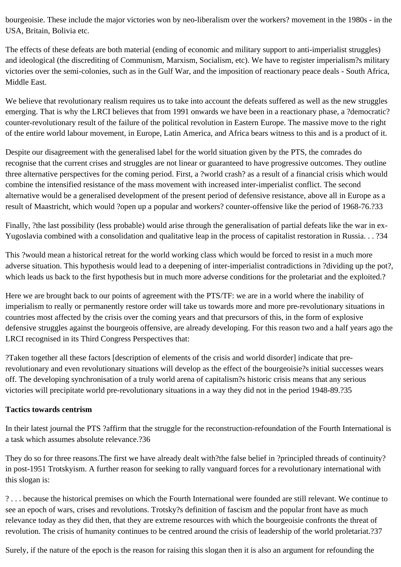bourgeoisie. These include the major victories won by neo-liberalism over the workers? movement in the 1980s - in the USA, Britain, Bolivia etc.

The effects of these defeats are both material (ending of economic and military support to anti-imperialist struggles) and ideological (the discrediting of Communism, Marxism, Socialism, etc). We have to register imperialism?s military victories over the semi-colonies, such as in the Gulf War, and the imposition of reactionary peace deals - South Africa, Middle East.

We believe that revolutionary realism requires us to take into account the defeats suffered as well as the new struggles emerging. That is why the LRCI believes that from 1991 onwards we have been in a reactionary phase, a ?democratic? counter-revolutionary result of the failure of the political revolution in Eastern Europe. The massive move to the right of the entire world labour movement, in Europe, Latin America, and Africa bears witness to this and is a product of it.

Despite our disagreement with the generalised label for the world situation given by the PTS, the comrades do recognise that the current crises and struggles are not linear or guaranteed to have progressive outcomes. They outline three alternative perspectives for the coming period. First, a ?world crash? as a result of a financial crisis which would combine the intensified resistance of the mass movement with increased inter-imperialist conflict. The second alternative would be a generalised development of the present period of defensive resistance, above all in Europe as a result of Maastricht, which would ?open up a popular and workers? counter-offensive like the period of 1968-76.?33

Finally, ?the last possibility (less probable) would arise through the generalisation of partial defeats like the war in ex-Yugoslavia combined with a consolidation and qualitative leap in the process of capitalist restoration in Russia. . . ?34

This ?would mean a historical retreat for the world working class which would be forced to resist in a much more adverse situation. This hypothesis would lead to a deepening of inter-imperialist contradictions in ?dividing up the pot?, which leads us back to the first hypothesis but in much more adverse conditions for the proletariat and the exploited.?

Here we are brought back to our points of agreement with the PTS/TF: we are in a world where the inability of imperialism to really or permanently restore order will take us towards more and more pre-revolutionary situations in countries most affected by the crisis over the coming years and that precursors of this, in the form of explosive defensive struggles against the bourgeois offensive, are already developing. For this reason two and a half years ago the LRCI recognised in its Third Congress Perspectives that:

?Taken together all these factors [description of elements of the crisis and world disorder] indicate that prerevolutionary and even revolutionary situations will develop as the effect of the bourgeoisie?s initial successes wears off. The developing synchronisation of a truly world arena of capitalism?s historic crisis means that any serious victories will precipitate world pre-revolutionary situations in a way they did not in the period 1948-89.?35

### **Tactics towards centrism**

In their latest journal the PTS ?affirm that the struggle for the reconstruction-refoundation of the Fourth International is a task which assumes absolute relevance.?36

They do so for three reasons.The first we have already dealt with?the false belief in ?principled threads of continuity? in post-1951 Trotskyism. A further reason for seeking to rally vanguard forces for a revolutionary international with this slogan is:

? . . . because the historical premises on which the Fourth International were founded are still relevant. We continue to see an epoch of wars, crises and revolutions. Trotsky?s definition of fascism and the popular front have as much relevance today as they did then, that they are extreme resources with which the bourgeoisie confronts the threat of revolution. The crisis of humanity continues to be centred around the crisis of leadership of the world proletariat.?37

Surely, if the nature of the epoch is the reason for raising this slogan then it is also an argument for refounding the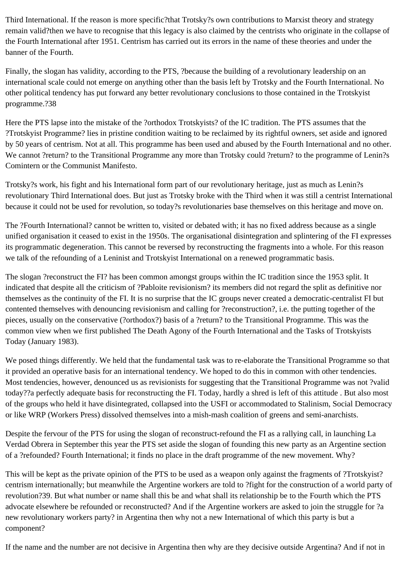Third International. If the reason is more specific?that Trotsky?s own contributions to Marxist theory and strategy remain valid?then we have to recognise that this legacy is also claimed by the centrists who originate in the collapse of the Fourth International after 1951. Centrism has carried out its errors in the name of these theories and under the banner of the Fourth.

Finally, the slogan has validity, according to the PTS, ?because the building of a revolutionary leadership on an international scale could not emerge on anything other than the basis left by Trotsky and the Fourth International. No other political tendency has put forward any better revolutionary conclusions to those contained in the Trotskyist programme.?38

Here the PTS lapse into the mistake of the ?orthodox Trotskyists? of the IC tradition. The PTS assumes that the ?Trotskyist Programme? lies in pristine condition waiting to be reclaimed by its rightful owners, set aside and ignored by 50 years of centrism. Not at all. This programme has been used and abused by the Fourth International and no other. We cannot ?return? to the Transitional Programme any more than Trotsky could ?return? to the programme of Lenin?s Comintern or the Communist Manifesto.

Trotsky?s work, his fight and his International form part of our revolutionary heritage, just as much as Lenin?s revolutionary Third International does. But just as Trotsky broke with the Third when it was still a centrist International because it could not be used for revolution, so today?s revolutionaries base themselves on this heritage and move on.

The ?Fourth International? cannot be written to, visited or debated with; it has no fixed address because as a single unified organisation it ceased to exist in the 1950s. The organisational disintegration and splintering of the FI expresses its programmatic degeneration. This cannot be reversed by reconstructing the fragments into a whole. For this reason we talk of the refounding of a Leninist and Trotskyist International on a renewed programmatic basis.

The slogan ?reconstruct the FI? has been common amongst groups within the IC tradition since the 1953 split. It indicated that despite all the criticism of ?Pabloite revisionism? its members did not regard the split as definitive nor themselves as the continuity of the FI. It is no surprise that the IC groups never created a democratic-centralist FI but contented themselves with denouncing revisionism and calling for ?reconstruction?, i.e. the putting together of the pieces, usually on the conservative (?orthodox?) basis of a ?return? to the Transitional Programme. This was the common view when we first published The Death Agony of the Fourth International and the Tasks of Trotskyists Today (January 1983).

We posed things differently. We held that the fundamental task was to re-elaborate the Transitional Programme so that it provided an operative basis for an international tendency. We hoped to do this in common with other tendencies. Most tendencies, however, denounced us as revisionists for suggesting that the Transitional Programme was not ?valid today??a perfectly adequate basis for reconstructing the FI. Today, hardly a shred is left of this attitude . But also most of the groups who held it have disintegrated, collapsed into the USFI or accommodated to Stalinism, Social Democracy or like WRP (Workers Press) dissolved themselves into a mish-mash coalition of greens and semi-anarchists.

Despite the fervour of the PTS for using the slogan of reconstruct-refound the FI as a rallying call, in launching La Verdad Obrera in September this year the PTS set aside the slogan of founding this new party as an Argentine section of a ?refounded? Fourth International; it finds no place in the draft programme of the new movement. Why?

This will be kept as the private opinion of the PTS to be used as a weapon only against the fragments of ?Trotskyist? centrism internationally; but meanwhile the Argentine workers are told to ?fight for the construction of a world party of revolution?39. But what number or name shall this be and what shall its relationship be to the Fourth which the PTS advocate elsewhere be refounded or reconstructed? And if the Argentine workers are asked to join the struggle for ?a new revolutionary workers party? in Argentina then why not a new International of which this party is but a component?

If the name and the number are not decisive in Argentina then why are they decisive outside Argentina? And if not in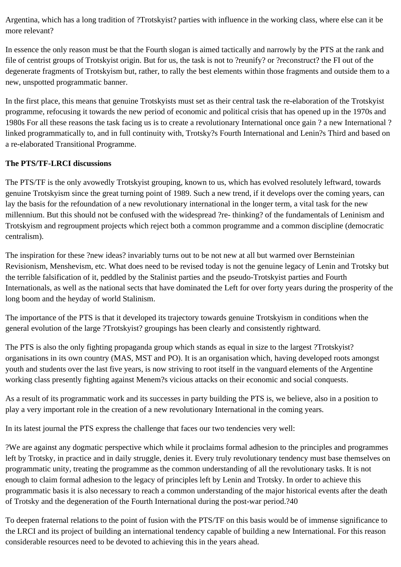Argentina, which has a long tradition of ?Trotskyist? parties with influence in the working class, where else can it be more relevant?

In essence the only reason must be that the Fourth slogan is aimed tactically and narrowly by the PTS at the rank and file of centrist groups of Trotskyist origin. But for us, the task is not to ?reunify? or ?reconstruct? the FI out of the degenerate fragments of Trotskyism but, rather, to rally the best elements within those fragments and outside them to a new, unspotted programmatic banner.

In the first place, this means that genuine Trotskyists must set as their central task the re-elaboration of the Trotskyist programme, refocusing it towards the new period of economic and political crisis that has opened up in the 1970s and 1980s For all these reasons the task facing us is to create a revolutionary International once gain ? a new International ? linked programmatically to, and in full continuity with, Trotsky?s Fourth International and Lenin?s Third and based on a re-elaborated Transitional Programme.

# **The PTS/TF-LRCI discussions**

The PTS/TF is the only avowedly Trotskyist grouping, known to us, which has evolved resolutely leftward, towards genuine Trotskyism since the great turning point of 1989. Such a new trend, if it develops over the coming years, can lay the basis for the refoundation of a new revolutionary international in the longer term, a vital task for the new millennium. But this should not be confused with the widespread ?re- thinking? of the fundamentals of Leninism and Trotskyism and regroupment projects which reject both a common programme and a common discipline (democratic centralism).

The inspiration for these ?new ideas? invariably turns out to be not new at all but warmed over Bernsteinian Revisionism, Menshevism, etc. What does need to be revised today is not the genuine legacy of Lenin and Trotsky but the terrible falsification of it, peddled by the Stalinist parties and the pseudo-Trotskyist parties and Fourth Internationals, as well as the national sects that have dominated the Left for over forty years during the prosperity of the long boom and the heyday of world Stalinism.

The importance of the PTS is that it developed its trajectory towards genuine Trotskyism in conditions when the general evolution of the large ?Trotskyist? groupings has been clearly and consistently rightward.

The PTS is also the only fighting propaganda group which stands as equal in size to the largest ?Trotskyist? organisations in its own country (MAS, MST and PO). It is an organisation which, having developed roots amongst youth and students over the last five years, is now striving to root itself in the vanguard elements of the Argentine working class presently fighting against Menem?s vicious attacks on their economic and social conquests.

As a result of its programmatic work and its successes in party building the PTS is, we believe, also in a position to play a very important role in the creation of a new revolutionary International in the coming years.

In its latest journal the PTS express the challenge that faces our two tendencies very well:

?We are against any dogmatic perspective which while it proclaims formal adhesion to the principles and programmes left by Trotsky, in practice and in daily struggle, denies it. Every truly revolutionary tendency must base themselves on programmatic unity, treating the programme as the common understanding of all the revolutionary tasks. It is not enough to claim formal adhesion to the legacy of principles left by Lenin and Trotsky. In order to achieve this programmatic basis it is also necessary to reach a common understanding of the major historical events after the death of Trotsky and the degeneration of the Fourth International during the post-war period.?40

To deepen fraternal relations to the point of fusion with the PTS/TF on this basis would be of immense significance to the LRCI and its project of building an international tendency capable of building a new International. For this reason considerable resources need to be devoted to achieving this in the years ahead.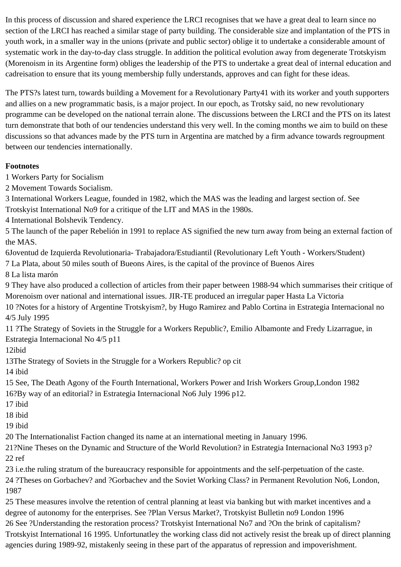In this process of discussion and shared experience the LRCI recognises that we have a great deal to learn since no section of the LRCI has reached a similar stage of party building. The considerable size and implantation of the PTS in youth work, in a smaller way in the unions (private and public sector) oblige it to undertake a considerable amount of systematic work in the day-to-day class struggle. In addition the political evolution away from degenerate Trotskyism (Morenoism in its Argentine form) obliges the leadership of the PTS to undertake a great deal of internal education and cadreisation to ensure that its young membership fully understands, approves and can fight for these ideas.

The PTS?s latest turn, towards building a Movement for a Revolutionary Party41 with its worker and youth supporters and allies on a new programmatic basis, is a major project. In our epoch, as Trotsky said, no new revolutionary programme can be developed on the national terrain alone. The discussions between the LRCI and the PTS on its latest turn demonstrate that both of our tendencies understand this very well. In the coming months we aim to build on these discussions so that advances made by the PTS turn in Argentina are matched by a firm advance towards regroupment between our tendencies internationally.

### **Footnotes**

1 Workers Party for Socialism

2 Movement Towards Socialism.

3 International Workers League, founded in 1982, which the MAS was the leading and largest section of. See Trotskyist International No9 for a critique of the LIT and MAS in the 1980s.

4 International Bolshevik Tendency.

5 The launch of the paper Rebelión in 1991 to replace AS signified the new turn away from being an external faction of the MAS.

6Joventud de Izquierda Revolutionaria- Trabajadora/Estudiantil (Revolutionary Left Youth - Workers/Student)

7 La Plata, about 50 miles south of Bueons Aires, is the capital of the province of Buenos Aires

8 La lista marón

9 They have also produced a collection of articles from their paper between 1988-94 which summarises their critique of Morenoism over national and international issues. JIR-TE produced an irregular paper Hasta La Victoria 10 ?Notes for a history of Argentine Trotskyism?, by Hugo Ramirez and Pablo Cortina in Estrategia Internacional no

4/5 July 1995

11 ?The Strategy of Soviets in the Struggle for a Workers Republic?, Emilio Albamonte and Fredy Lizarrague, in Estrategia Internacional No 4/5 p11

12ibid

13The Strategy of Soviets in the Struggle for a Workers Republic? op cit

14 ibid

15 See, The Death Agony of the Fourth International, Workers Power and Irish Workers Group,London 1982 16?By way of an editorial? in Estrategia Internacional No6 July 1996 p12.

- 17 ibid
- 18 ibid

19 ibid

20 The Internationalist Faction changed its name at an international meeting in January 1996.

21?Nine Theses on the Dynamic and Structure of the World Revolution? in Estrategia Internacional No3 1993 p? 22 ref

23 i.e.the ruling stratum of the bureaucracy responsible for appointments and the self-perpetuation of the caste.

24 ?Theses on Gorbachev? and ?Gorbachev and the Soviet Working Class? in Permanent Revolution No6, London, 1987

25 These measures involve the retention of central planning at least via banking but with market incentives and a degree of autonomy for the enterprises. See ?Plan Versus Market?, Trotskyist Bulletin no9 London 1996

26 See ?Understanding the restoration process? Trotskyist International No7 and ?On the brink of capitalism? Trotskyist International 16 1995. Unfortunatley the working class did not actively resist the break up of direct planning agencies during 1989-92, mistakenly seeing in these part of the apparatus of repression and impoverishment.